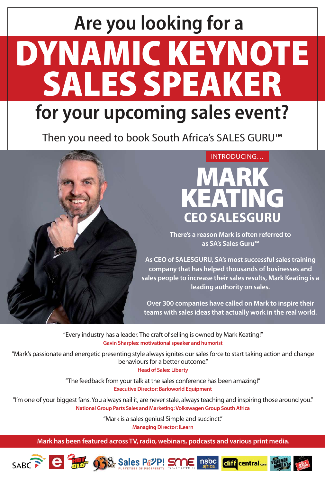# DYNAMIC KEYNOTE SALES SPEAKER **Are you looking for a for your upcoming sales event?**

Then you need to book South Africa's SALES GURU™



### INTRODUCING…



**There's a reason Mark is often referred to as SA's Sales Guru™**

**As CEO of SALESGURU, SA's most successful sales training company that has helped thousands of businesses and sales people to increase their sales results, Mark Keating is a leading authority on sales.**

**Over 300 companies have called on Mark to inspire their teams with sales ideas that actually work in the real world.**

"Every industry has a leader. The craft of selling is owned by Mark Keating!" **Gavin Sharples: motivational speaker and humorist**

"Mark's passionate and energetic presenting style always ignites our sales force to start taking action and change behaviours for a better outcome."

**Head of Sales: Liberty**

"The feedback from your talk at the sales conference has been amazing!" **Executive Director: Barloworld Equipment**

"I'm one of your biggest fans. You always nail it, are never stale, always teaching and inspiring those around you." **National Group Parts Sales and Marketing: Volkswagen Group South Africa**

"Mark is a sales genius! Simple and succinct."

**Managing Director: iLearn**

**Mark has been featured across TV, radio, webinars, podcasts and various print media.**







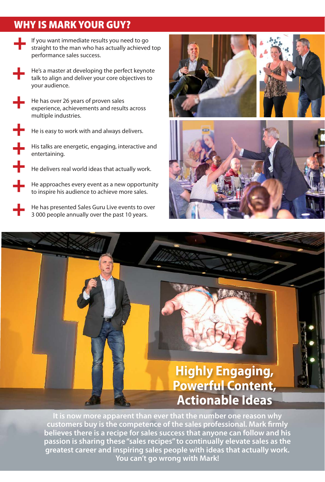## WHY IS MARK YOUR GUY?

- If you want immediate results you need to go straight to the man who has actually achieved top performance sales success.
- He's a master at developing the perfect keynote talk to align and deliver your core objectives to your audience.
	- He has over 26 years of proven sales experience, achievements and results across multiple industries.
		- He is easy to work with and always delivers.
		- His talks are energetic, engaging, interactive and entertaining.
			- He delivers real world ideas that actually work.
			- He approaches every event as a new opportunity to inspire his audience to achieve more sales.
	- He has presented Sales Guru Live events to over 3 000 people annually over the past 10 years.



## **Highly Engaging, Powerful Content, actionable Ideas**

**It is now more apparent than ever that the number one reason why customers buy is the competence of the sales professional. Mark firmly believes there is a recipe for sales success that anyone can follow and his passion is sharing these "sales recipes" to continually elevate sales as the greatest career and inspiring sales people with ideas that actually work. You can't go wrong with Mark!**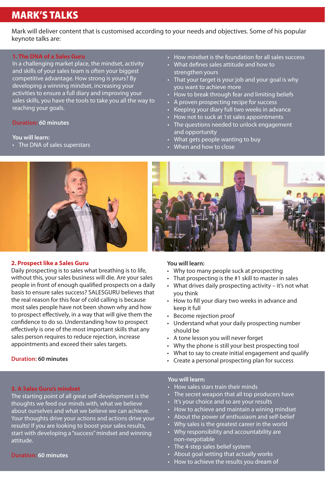## MARK'S TALKS

Mark will deliver content that is customised according to your needs and objectives. Some of his popular keynote talks are:

#### **1. The DNA of a Sales Guru**

In a challenging market place, the mindset, activity and skills of your sales team is often your biggest competitive advantage. How strong is yours? By developing a winning mindset, increasing your activities to ensure a full diary and improving your sales skills, you have the tools to take you all the way to reaching your goals.

#### **Duration: 60 minutes**

#### **You will learn:**

• The DNA of sales superstars

- How mindset is the foundation for all sales success
- What defines sales attitude and how to strengthen yours
- That your target is your job and your goal is why you want to achieve more
- How to break through fear and limiting beliefs
- A proven prospecting recipe for success
- Keeping your diary full two weeks in advance
- How not to suck at 1st sales appointments
- The questions needed to unlock engagement and opportunity
- What gets people wanting to buy
- When and how to close



#### **2. Prospect like a Sales Guru**

Daily prospecting is to sales what breathing is to life, without this, your sales business will die. Are your sales people in front of enough qualified prospects on a daily basis to ensure sales success? SALESGURU believes that the real reason for this fear of cold calling is because most sales people have not been shown why and how to prospect effectively, in a way that will give them the confidence to do so. Understanding how to prospect effectively is one of the most important skills that any sales person requires to reduce rejection, increase appointments and exceed their sales targets.

#### **Duration: 60 minutes**

#### **3. A Sales Guru's mindset**

The starting point of all great self-development is the thoughts we feed our minds with, what we believe about ourselves and what we believe we can achieve. Your thoughts drive your actions and actions drive your results! If you are looking to boost your sales results, start with developing a "success" mindset and winning attitude.

#### **Duration: 60 minutes**



#### **You will learn:**

- Why too many people suck at prospecting
- That prospecting is the #1 skill to master in sales
- What drives daily prospecting activity it's not what you think
- How to fill your diary two weeks in advance and keep it full
- Become rejection proof
- Understand what your daily prospecting number should be
- A tone lesson you will never forget
- Why the phone is still your best prospecting tool
- What to say to create initial engagement and qualify
- Create a personal prospecting plan for success

#### **You will learn:**

- How sales stars train their minds
- The secret weapon that all top producers have
- It's your choice and so are your results
- How to achieve and maintain a wining mindset
- About the power of enthusiasm and self-belief
- Why sales is the greatest career in the world
- Why responsibility and accountability are non-negotiable
- The 4-step sales belief system
- About goal setting that actually works
- How to achieve the results you dream of